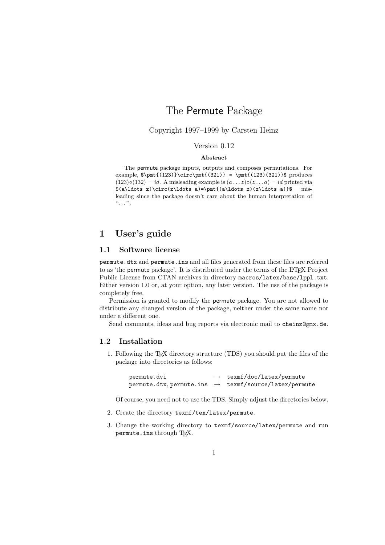# The Permute Package

# Copyright 1997–1999 by Carsten Heinz

# Version 0.12 **Abstract**

The permute package inputs, outputs and composes permutations. For example,  $\phi_{(123)}\circ\phi_{(321)} = \phi_{(123)(321)}\$  produces  $(123) \circ (132) = id$ . A misleading example is  $(a \dots z) \circ (z \dots a) = id$  printed via  $(\a\ldots z)\circ(z\ldots a)=\phi({a\ldots z)(z\ldots a)}$  = misleading since the package doesn't care about the human interpretation of  $\alpha$ ,  $\beta$ ,  $\beta$ 

# **1 User's guide**

# **1.1 Software license**

permute.dtx and permute.ins and all files generated from these files are referred to as 'the permute package'. It is distributed under the terms of the LAT<sub>EX</sub> Project Public License from CTAN archives in directory macros/latex/base/lppl.txt. Either version 1.0 or, at your option, any later version. The use of the package is completely free.

Permission is granted to modify the permute package. You are not allowed to distribute any changed version of the package, neither under the same name nor under a different one.

Send comments, ideas and bug reports via electronic mail to cheinz@gmx.de.

## **1.2 Installation**

1. Following the TEX directory structure (TDS) you should put the files of the package into directories as follows:

| permute.dvi | texmf/doc/latex/permute                                           |
|-------------|-------------------------------------------------------------------|
|             | permute.dtx, permute.ins $\rightarrow$ texmf/source/latex/permute |

Of course, you need not to use the TDS. Simply adjust the directories below.

- 2. Create the directory texmf/tex/latex/permute.
- 3. Change the working directory to texmf/source/latex/permute and run permute.ins through TEX.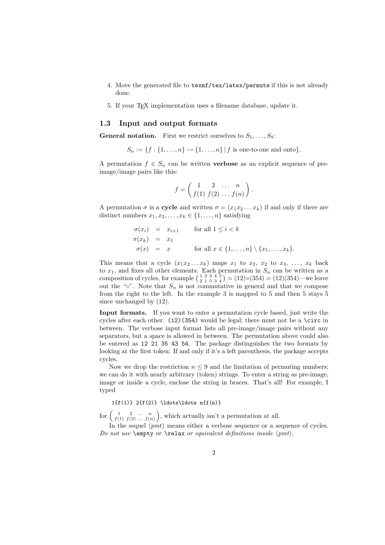- 4. Move the generated file to texmf/tex/latex/permute if this is not already done.
- 5. If your TEX implementation uses a filename database, update it.

### **1.3 Input and output formats**

**General notation.** First we restrict ourselves to  $S_1, \ldots, S_9$ :

$$
S_n := \{f : \{1, ..., n\} \to \{1, ..., n\} | f
$$
 is one-to-one and onto\}.

A permutation  $f \in S_n$  can be written **verbose** as an explicit sequence of preimage/image pairs like this:

$$
f = \begin{pmatrix} 1 & 2 & \dots & n \\ f(1) & f(2) & \dots & f(n) \end{pmatrix}.
$$

A permutation  $\sigma$  is a **cycle** and written  $\sigma = (x_1 x_2 \dots x_k)$  if and only if there are distinct numbers  $x_1, x_2, \ldots, x_k \in \{1, \ldots, n\}$  satisfying

$$
\begin{array}{rcl}\n\sigma(x_i) & = & x_{i+1} & \text{for all } 1 \leq i < k \\
\sigma(x_k) & = & x_1 & \text{for all } x \in \{1, \dots, n\} \setminus \{x_1, \dots, x_k\}.\n\end{array}
$$

This means that a cycle  $(x_1x_2...x_k)$  maps  $x_1$  to  $x_2, x_2$  to  $x_3, ..., x_k$  back to  $x_1$ , and fixes all other elements. Each permutation in  $S_n$  can be written as a composition of cycles, for example  $\binom{1}{2}$   $\frac{2}{1}$   $\frac{3}{5}$   $\frac{4}{4}$   $\binom{5}{2}$  = (12) $\circ$ (354) = (12)(354)—we leave out the "∘". Note that  $S_n$  is not commutative in general and that we compose from the right to the left. In the example 3 is mapped to 5 and then 5 stays 5 since unchanged by (12).

**Input formats.** If you want to enter a permutation cycle based, just write the cycles after each other.  $(12)(354)$  would be legal; there must not be a \circ in between. The verbose input format lists all pre-image/image pairs without any separators, but a space is allowed in between. The permutation above could also be entered as 12 21 35 43 54. The package distinguishes the two formats by looking at the first token: If and only if it's a left parenthesis, the package accepts cycles.

Now we drop the restriction  $n \leq 9$  and the limitation of permuting numbers: we can do it with nearly arbitrary (token) strings. To enter a string as pre-image, image or inside a cycle, enclose the string in braces. That's all! For example, I typed

# $1\{f(1)\}$   $2\{f(2)\}$  \ldots\ldots n{f(n)}

for  $\begin{pmatrix} 1 & 2 & \dots & n \\ f(1) & f(2) & \dots & f(n) \end{pmatrix}$ , which actually isn't a permutation at all.

In the sequel  $\langle pmt \rangle$  means either a verbose sequence or a sequence of cycles. *Do not use* \empty *or* \relax *or equivalent definitions inside pmt*.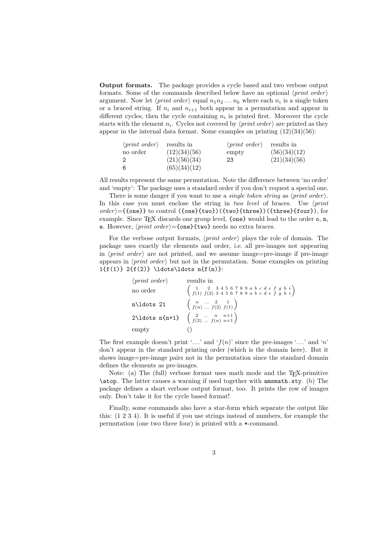**Output formats.** The package provides a cycle based and two verbose output formats. Some of the commands described below have an optional *print order* argument. Now let  $\langle print\ order \rangle$  equal  $n_1 n_2 \ldots n_k$  where each  $n_i$  is a single token or a braced string. If  $n_i$  and  $n_{i+1}$  both appear in a permutation and appear in different cycles, then the cycle containing  $n_i$  is printed first. Moreover the cycle starts with the element  $n_i$ . Cycles not covered by  $\langle print\ order\rangle$  are printed as they appear in the internal data format. Some examples on printing  $(12)(34)(56)$ :

| $\langle print\ order \rangle$ | results in   | $\langle print \ order \rangle$ | results in   |
|--------------------------------|--------------|---------------------------------|--------------|
| no order                       | (12)(34)(56) | empty                           | (56)(34)(12) |
|                                | (21)(56)(34) | 23                              | (21)(34)(56) |
| 6                              | (65)(34)(12) |                                 |              |

All results represent the same permutation. Note the difference between 'no order' and 'empty': The package uses a standard order if you don't request a special one.

There is some danger if you want to use a *single token string* as  $\langle print\ order \rangle$ . In this case you must enclose the string in *two level* of braces. Use *print order* ={{one}} to control ({one}{two})({two}{three})({three}{four}), for example. Since T<sub>EX</sub> discards one group level, {one} would lead to the order o, n, e. However,  $\langle print\ order \rangle = \{one\}$  {two} needs no extra braces.

For the verbose output formats,  $\langle print\ order\rangle$  plays the role of domain. The package uses exactly the elements and order, i.e. all pre-images not appearing in  $\langle print\ order\rangle$  are not printed, and we assume image=pre-image if pre-image appears in  $\langle print\ order\rangle$  but not in the permutation. Some examples on printing 1 $\{f(1)\}$  2 $\{f(2)\}$  \ldots\ldots n $\{f(n)\}$ :

| $\langle print \ order \rangle$                                                                   | results in                                                                                                                                                            |
|---------------------------------------------------------------------------------------------------|-----------------------------------------------------------------------------------------------------------------------------------------------------------------------|
| no order                                                                                          | $\left(\begin{array}{ccc} 1 & 2 & 3\ 4\ 5\ 6\ 7\ 8\ 9\ a\ b\ c\ d\ e\ f\ g\ h\ i\cr f(1)\ f(2)\ 3\ 4\ 5\ 6\ 7\ 8\ 9\ a\ b\ c\ d\ e\ f\ g\ h\ i\cr \end{array}\right)$ |
| $n\ldots 21$                                                                                      | $\left(\begin{array}{ccc} n & \ldots & 2 & 1 \\ f(n) & \ldots & f(2) & f(1) \end{array}\right)$                                                                       |
| 2\ldots n{n+1} $\begin{pmatrix} 2 & \cdots & n & n+1 \\ f(2) & \cdots & f(n) & n+1 \end{pmatrix}$ |                                                                                                                                                                       |
| empty                                                                                             |                                                                                                                                                                       |

The first example doesn't print '...' and ' $f(n)$ ' since the pre-images '...' and 'n' don't appear in the standard printing order (which is the domain here). But it shows image=pre-image pairs not in the permutation since the standard domain defines the elements as pre-images.

Note: (a) The (full) verbose format uses math mode and the T<sub>E</sub>X-primitive \atop. The latter causes a warning if used together with amsmath.sty. (b) The package defines a short verbose output format, too. It prints the row of images only. Don't take it for the cycle based format!

Finally, some commands also have a star-form which separate the output like this: (1 2 3 4). It is useful if you use strings instead of numbers, for example the permutation (one two three four) is printed with a \*-command.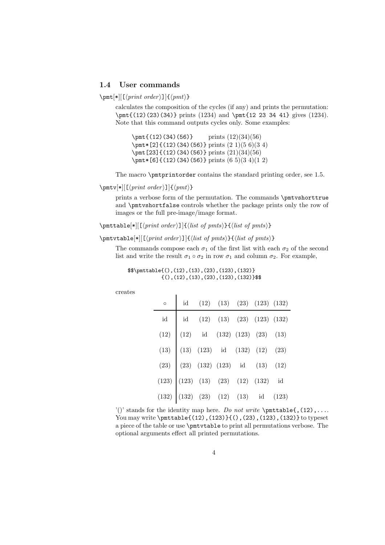# **1.4 User commands**

 $\mathrm{F}[*][[\langle print\ order\rangle]]{\langle pmt\rangle}$ 

calculates the composition of the cycles (if any) and prints the permutation: \pmt{(12)(23)(34)} prints (1234) and \pmt{12 23 34 41} gives (1234). Note that this command outputs cycles only. Some examples:

 $\pm$ {(12)(34)(56)} prints (12)(34)(56) \pmt\*[2]{(12)(34)(56)} prints (2 1)(5 6)(3 4) \pmt [23] {(12)(34)(56)} prints (21)(34)(56) \pmt\*[6]{(12)(34)(56)} prints (6 5)(3 4)(1 2)

The macro \pmtprintorder contains the standard printing order, see 1.5.

# $\mathcal{F}[\lfloor \sqrt{rint order} \rfloor] \{\langle pmt \rangle\}$

prints a verbose form of the permutation. The commands \pmtvshorttrue and \pmtvshortfalse controls whether the package prints only the row of images or the full pre-image/image format.

 $\mathcal{E}[[|p|] \leq \frac{1}{\{list \ of \ p|m} \}$ 

\pmtvtable[\*][[*print order* ]]{*list of pmts*}{*list of pmts*}

 $\overline{1}$ 

The commands compose each  $\sigma_1$  of the first list with each  $\sigma_2$  of the second list and write the result  $\sigma_1 \circ \sigma_2$  in row  $\sigma_1$  and column  $\sigma_2$ . For example,

| \$\$\pmttable{(),(12),(13),(23),(123),(132)} |  |                                               |
|----------------------------------------------|--|-----------------------------------------------|
|                                              |  | $\{()\,(12), (13), (23), (123), (132)\}$ \$\$ |

creates

| $\circ$                                                                                                                                                                                                                                   | $\emph{id} \quad \quad \text{(12)} \quad \text{(13)} \quad \text{(23)} \quad \text{(123)} \quad \text{(132)}$ |  |  |
|-------------------------------------------------------------------------------------------------------------------------------------------------------------------------------------------------------------------------------------------|---------------------------------------------------------------------------------------------------------------|--|--|
| id id (12) (13) (23) (123) (132)<br>(12) (12) id (132) (123) (23) (13)<br>(13) (13) (123) id (132) (12) (23)<br>(23) (23) (132) (123) id (13) (12)<br>(123) (123) (13) (23) (12) (132) id<br>(132) (132) (23) (12) (132) id<br>(132) (132 |                                                                                                               |  |  |
|                                                                                                                                                                                                                                           |                                                                                                               |  |  |
|                                                                                                                                                                                                                                           |                                                                                                               |  |  |
|                                                                                                                                                                                                                                           |                                                                                                               |  |  |
|                                                                                                                                                                                                                                           |                                                                                                               |  |  |
|                                                                                                                                                                                                                                           |                                                                                                               |  |  |

'()' stands for the identity map here. *Do not write*  $\partial$ , (12),... You may write \pmttable{(12),(123)}{(),(23),(123),(132)} to typeset a piece of the table or use \pmtvtable to print all permutations verbose. The optional arguments effect all printed permutations.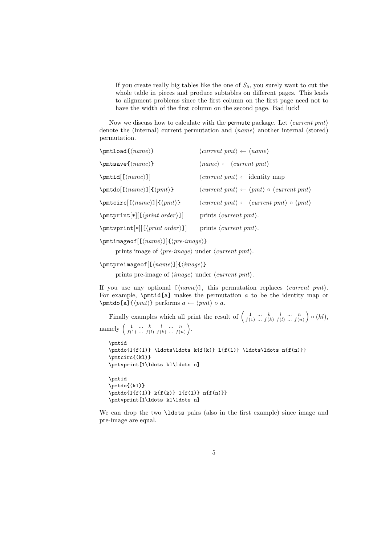If you create really big tables like the one of  $S_5$ , you surely want to cut the whole table in pieces and produce subtables on different pages. This leads to alignment problems since the first column on the first page need not to have the width of the first column on the second page. Bad luck!

Now we discuss how to calculate with the permute package. Let *current pmt* denote the (internal) current permutation and  $\langle name \rangle$  another internal (stored) permutation.

| $\pm 1$ oad $\{\langle name \rangle\}$                      | $\langle current \ pmt \rangle \leftarrow \langle name \rangle$                                      |
|-------------------------------------------------------------|------------------------------------------------------------------------------------------------------|
| $\mathsf{name}\$                                            | $\langle name \rangle \leftarrow \langle current \; pmt \rangle$                                     |
| $\partial[\langle name \rangle]$                            | $\langle current \ pmt \rangle \leftarrow identity map$                                              |
| $\mathcal{S}[\langle name \rangle] {\langle pmt \rangle}$   | $\langle current \; pmt \rangle \leftarrow \langle pmt \rangle \circ \langle current \; pmt \rangle$ |
| $\mathcal{L}[\langle name \rangle] \{\langle pmt \rangle\}$ | $\langle current \; pmt \rangle \leftarrow \langle current \; pmt \rangle \circ \langle pmt \rangle$ |
| $\pm\$ [ <i>print</i> ]\n[ <i>print order</i> ]\n]          | prints $\langle current \ pmt \rangle$ .                                                             |
| $\pm \sqrt{\frac{\mu}{\left[\frac{\gamma}{\gamma}\right]}}$ | prints $\langle current \ pmt \rangle$ .                                                             |

\pmtimageof[[*name*]]{*pre-image*}

prints image of  $\langle pre\text{-}image \rangle$  under  $\langle current \text{ }pm1 \rangle$ .

```
\pmtpreimageof[[name]]{image}
```
prints pre-image of  $\langle image \rangle$  under  $\langle current \ pmt \rangle$ .

If you use any optional  $[\langle name \rangle]$ , this permutation replaces  $\langle current \ pmt \rangle$ . For example,  $\partial$  is the permutation a to be the identity map or  $\mathcal{D}$   $\{\pm\}$  performs  $a \leftarrow \langle pmt \rangle \circ a$ .

Finally examples which all print the result of  $\begin{pmatrix} 1 & \cdots & k & l & \cdots & n \\ f(1) & \cdots & f(k) & f(l) & \cdots & f(n) \end{pmatrix} \circ (kl)$ , namely  $\begin{pmatrix} 1 & \dots & k & l & \dots & n \\ f(1) & \dots & f(l) & f(k) & \dots & f(n) \end{pmatrix}$ .

```
\pmtid
\pmod{1{f(1)} \ldots k{f(k)} 1{f(1)} \ldots n{f(n)}\pmtcirc{(kl)}
\pmtvprint[1\ldots kl\ldots n]
```

```
\pmtid
\pmtdo{(kl)}
\phi{1{f(1)} k{f(k)} 1{f(1)} n{f(n)}\pmtvprint[1\ldots kl\ldots n]
```
We can drop the two **\ldots** pairs (also in the first example) since image and pre-image are equal.